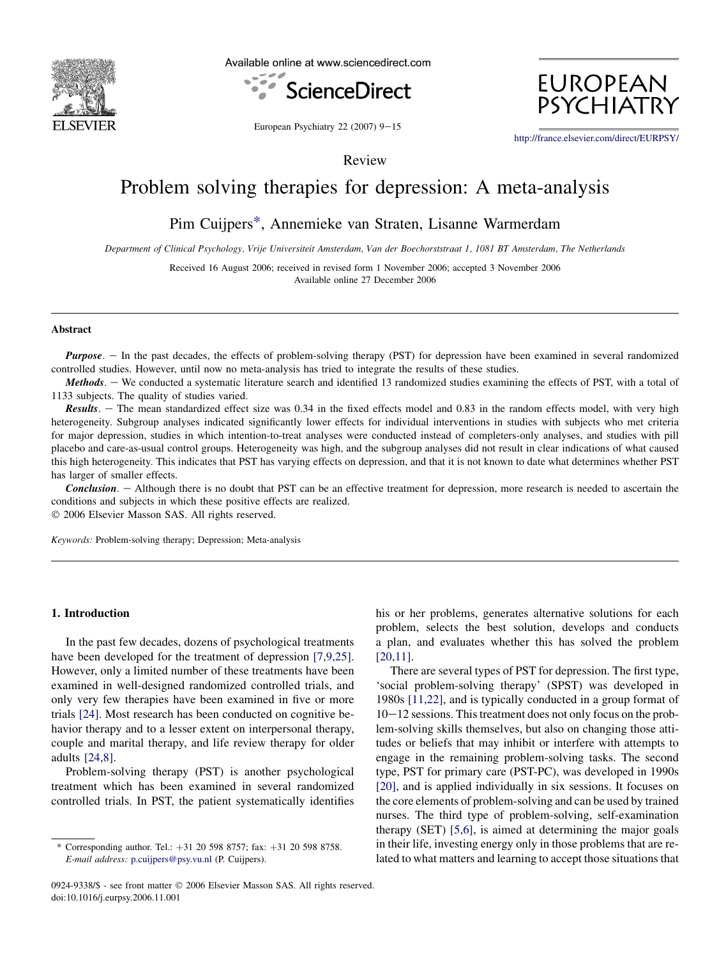

Available online at www.sciencedirect.com



**EUROPEAN** PSYCHIATRY

European Psychiatry 22 (2007)  $9-15$ 

http://france.elsevier.com/direct/EURPSY/

Review

# Problem solving therapies for depression: A meta-analysis

# Pim Cuijpers\*, Annemieke van Straten, Lisanne Warmerdam

Department of Clinical Psychology, Vrije Universiteit Amsterdam, Van der Boechorststraat 1, 1081 BT Amsterdam, The Netherlands

Received 16 August 2006; received in revised form 1 November 2006; accepted 3 November 2006 Available online 27 December 2006

#### Abstract

**Purpose.**  $-$  In the past decades, the effects of problem-solving therapy (PST) for depression have been examined in several randomized controlled studies. However, until now no meta-analysis has tried to integrate the results of these studies.

**Methods.**  $-$  We conducted a systematic literature search and identified 13 randomized studies examining the effects of PST, with a total of 1133 subjects. The quality of studies varied.

Results. - The mean standardized effect size was 0.34 in the fixed effects model and 0.83 in the random effects model, with very high heterogeneity. Subgroup analyses indicated significantly lower effects for individual interventions in studies with subjects who met criteria for major depression, studies in which intention-to-treat analyses were conducted instead of completers-only analyses, and studies with pill placebo and care-as-usual control groups. Heterogeneity was high, and the subgroup analyses did not result in clear indications of what caused this high heterogeneity. This indicates that PST has varying effects on depression, and that it is not known to date what determines whether PST has larger of smaller effects.

 $Conclusion. - Although there is no doubt that PST can be an effective treatment for depression, more research is needed to ascertain the$ conditions and subjects in which these positive effects are realized.

© 2006 Elsevier Masson SAS. All rights reserved.

Keywords: Problem-solving therapy; Depression; Meta-analysis

### 1. Introduction

In the past few decades, dozens of psychological treatments have been developed for the treatment of depression [\[7,9,25\]](#page-6-0). However, only a limited number of these treatments have been examined in well-designed randomized controlled trials, and only very few therapies have been examined in five or more trials [\[24\].](#page-6-0) Most research has been conducted on cognitive behavior therapy and to a lesser extent on interpersonal therapy, couple and marital therapy, and life review therapy for older adults [\[24,8\].](#page-6-0)

Problem-solving therapy (PST) is another psychological treatment which has been examined in several randomized controlled trials. In PST, the patient systematically identifies his or her problems, generates alternative solutions for each problem, selects the best solution, develops and conducts a plan, and evaluates whether this has solved the problem [\[20,11\].](#page-6-0) There are several types of PST for depression. The first type,

'social problem-solving therapy' (SPST) was developed in 1980s [\[11,22\]](#page-6-0), and is typically conducted in a group format of  $10-12$  sessions. This treatment does not only focus on the problem-solving skills themselves, but also on changing those attitudes or beliefs that may inhibit or interfere with attempts to engage in the remaining problem-solving tasks. The second type, PST for primary care (PST-PC), was developed in 1990s [\[20\]](#page-6-0), and is applied individually in six sessions. It focuses on the core elements of problem-solving and can be used by trained nurses. The third type of problem-solving, self-examination therapy (SET) [\[5,6\]](#page-6-0), is aimed at determining the major goals in their life, investing energy only in those problems that are related to what matters and learning to accept those situations that

<sup>\*</sup> Corresponding author. Tel.:  $+31$  20 598 8757; fax:  $+31$  20 598 8758. E-mail address: [p.cuijpers@psy.vu.nl](mailto:p.cuijpers@psy.vu.nl) (P. Cuijpers).

<sup>0924-9338/\$ -</sup> see front matter © 2006 Elsevier Masson SAS. All rights reserved. doi:10.1016/j.eurpsy.2006.11.001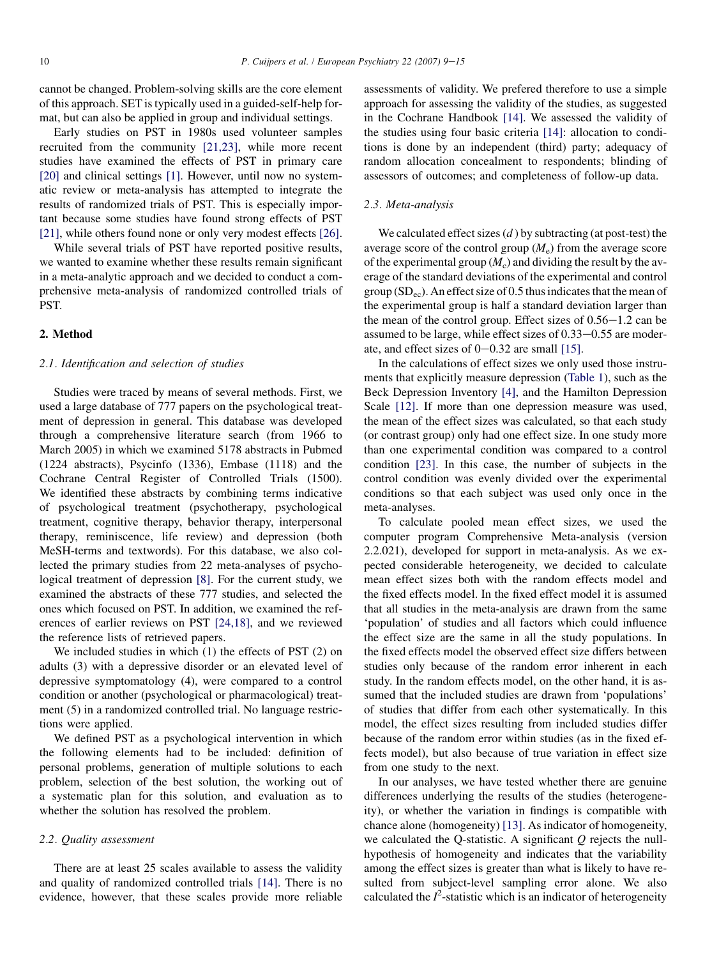cannot be changed. Problem-solving skills are the core element of this approach. SET is typically used in a guided-self-help format, but can also be applied in group and individual settings.

Early studies on PST in 1980s used volunteer samples recruited from the community [\[21,23\]](#page-6-0), while more recent studies have examined the effects of PST in primary care [\[20\]](#page-6-0) and clinical settings [\[1\]](#page-6-0). However, until now no systematic review or meta-analysis has attempted to integrate the results of randomized trials of PST. This is especially important because some studies have found strong effects of PST [\[21\]](#page-6-0), while others found none or only very modest effects [\[26\]](#page-6-0).

While several trials of PST have reported positive results, we wanted to examine whether these results remain significant in a meta-analytic approach and we decided to conduct a comprehensive meta-analysis of randomized controlled trials of PST.

#### 2. Method

#### 2.1. Identification and selection of studies

Studies were traced by means of several methods. First, we used a large database of 777 papers on the psychological treatment of depression in general. This database was developed through a comprehensive literature search (from 1966 to March 2005) in which we examined 5178 abstracts in Pubmed (1224 abstracts), Psycinfo (1336), Embase (1118) and the Cochrane Central Register of Controlled Trials (1500). We identified these abstracts by combining terms indicative of psychological treatment (psychotherapy, psychological treatment, cognitive therapy, behavior therapy, interpersonal therapy, reminiscence, life review) and depression (both MeSH-terms and textwords). For this database, we also collected the primary studies from 22 meta-analyses of psychological treatment of depression [\[8\].](#page-6-0) For the current study, we examined the abstracts of these 777 studies, and selected the ones which focused on PST. In addition, we examined the references of earlier reviews on PST [\[24,18\]](#page-6-0), and we reviewed the reference lists of retrieved papers.

We included studies in which (1) the effects of PST (2) on adults (3) with a depressive disorder or an elevated level of depressive symptomatology (4), were compared to a control condition or another (psychological or pharmacological) treatment (5) in a randomized controlled trial. No language restrictions were applied.

We defined PST as a psychological intervention in which the following elements had to be included: definition of personal problems, generation of multiple solutions to each problem, selection of the best solution, the working out of a systematic plan for this solution, and evaluation as to whether the solution has resolved the problem.

#### 2.2. Quality assessment

There are at least 25 scales available to assess the validity and quality of randomized controlled trials [\[14\]](#page-6-0). There is no evidence, however, that these scales provide more reliable assessments of validity. We prefered therefore to use a simple approach for assessing the validity of the studies, as suggested in the Cochrane Handbook [\[14\]](#page-6-0). We assessed the validity of the studies using four basic criteria [\[14\]:](#page-6-0) allocation to conditions is done by an independent (third) party; adequacy of random allocation concealment to respondents; blinding of assessors of outcomes; and completeness of follow-up data.

# 2.3. Meta-analysis

We calculated effect sizes  $(d)$  by subtracting (at post-test) the average score of the control group  $(M_e)$  from the average score of the experimental group  $(M<sub>c</sub>)$  and dividing the result by the average of the standard deviations of the experimental and control group ( $SD_{ec}$ ). An effect size of 0.5 thus indicates that the mean of the experimental group is half a standard deviation larger than the mean of the control group. Effect sizes of  $0.56-1.2$  can be assumed to be large, while effect sizes of  $0.33-0.55$  are moderate, and effect sizes of  $0-0.32$  are small [\[15\]](#page-6-0).

In the calculations of effect sizes we only used those instruments that explicitly measure depression ([Table 1](#page-3-0)), such as the Beck Depression Inventory [\[4\]](#page-6-0), and the Hamilton Depression Scale [\[12\]](#page-6-0). If more than one depression measure was used, the mean of the effect sizes was calculated, so that each study (or contrast group) only had one effect size. In one study more than one experimental condition was compared to a control condition [\[23\].](#page-6-0) In this case, the number of subjects in the control condition was evenly divided over the experimental conditions so that each subject was used only once in the meta-analyses.

To calculate pooled mean effect sizes, we used the computer program Comprehensive Meta-analysis (version 2.2.021), developed for support in meta-analysis. As we expected considerable heterogeneity, we decided to calculate mean effect sizes both with the random effects model and the fixed effects model. In the fixed effect model it is assumed that all studies in the meta-analysis are drawn from the same 'population' of studies and all factors which could influence the effect size are the same in all the study populations. In the fixed effects model the observed effect size differs between studies only because of the random error inherent in each study. In the random effects model, on the other hand, it is assumed that the included studies are drawn from 'populations' of studies that differ from each other systematically. In this model, the effect sizes resulting from included studies differ because of the random error within studies (as in the fixed effects model), but also because of true variation in effect size from one study to the next.

In our analyses, we have tested whether there are genuine differences underlying the results of the studies (heterogeneity), or whether the variation in findings is compatible with chance alone (homogeneity) [\[13\].](#page-6-0) As indicator of homogeneity, we calculated the O-statistic. A significant  $O$  rejects the nullhypothesis of homogeneity and indicates that the variability among the effect sizes is greater than what is likely to have resulted from subject-level sampling error alone. We also calculated the  $I^2$ -statistic which is an indicator of heterogeneity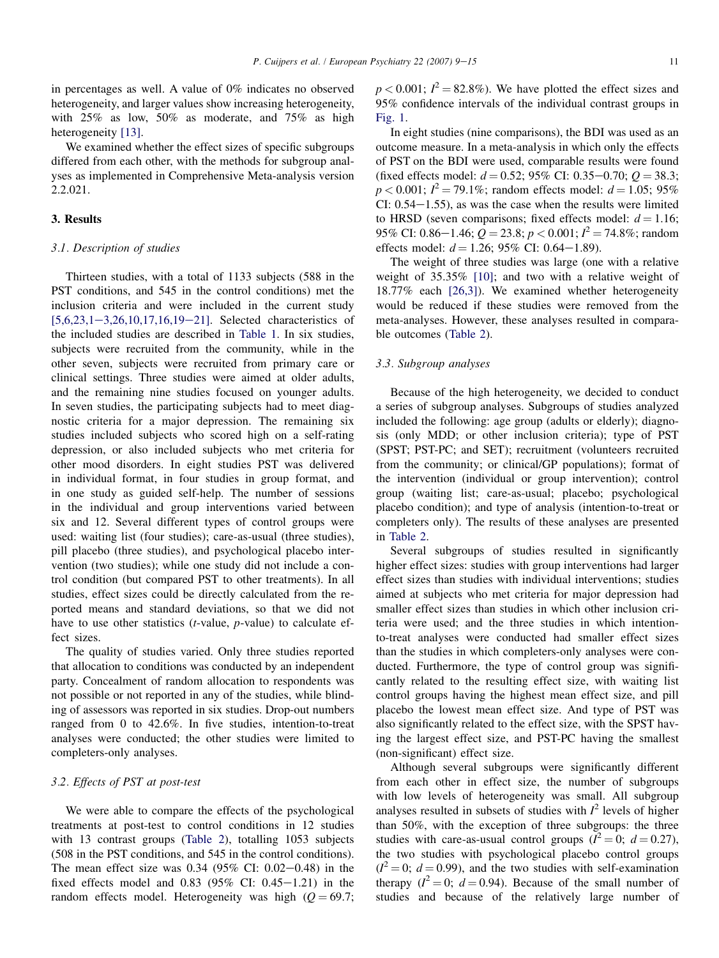in percentages as well. A value of 0% indicates no observed heterogeneity, and larger values show increasing heterogeneity, with 25% as low, 50% as moderate, and 75% as high heterogeneity [\[13\].](#page-6-0)

We examined whether the effect sizes of specific subgroups differed from each other, with the methods for subgroup analyses as implemented in Comprehensive Meta-analysis version 2.2.021.

# 3. Results

#### 3.1. Description of studies

Thirteen studies, with a total of 1133 subjects (588 in the PST conditions, and 545 in the control conditions) met the inclusion criteria and were included in the current study  $[5,6,23,1-3,26,10,17,16,19-21]$  $[5,6,23,1-3,26,10,17,16,19-21]$  $[5,6,23,1-3,26,10,17,16,19-21]$  $[5,6,23,1-3,26,10,17,16,19-21]$ . Selected characteristics of the included studies are described in [Table 1](#page-3-0). In six studies, subjects were recruited from the community, while in the other seven, subjects were recruited from primary care or clinical settings. Three studies were aimed at older adults, and the remaining nine studies focused on younger adults. In seven studies, the participating subjects had to meet diagnostic criteria for a major depression. The remaining six studies included subjects who scored high on a self-rating depression, or also included subjects who met criteria for other mood disorders. In eight studies PST was delivered in individual format, in four studies in group format, and in one study as guided self-help. The number of sessions in the individual and group interventions varied between six and 12. Several different types of control groups were used: waiting list (four studies); care-as-usual (three studies), pill placebo (three studies), and psychological placebo intervention (two studies); while one study did not include a control condition (but compared PST to other treatments). In all studies, effect sizes could be directly calculated from the reported means and standard deviations, so that we did not have to use other statistics  $(t$ -value,  $p$ -value) to calculate effect sizes.

The quality of studies varied. Only three studies reported that allocation to conditions was conducted by an independent party. Concealment of random allocation to respondents was not possible or not reported in any of the studies, while blinding of assessors was reported in six studies. Drop-out numbers ranged from 0 to 42.6%. In five studies, intention-to-treat analyses were conducted; the other studies were limited to completers-only analyses.

# 3.2. Effects of PST at post-test

We were able to compare the effects of the psychological treatments at post-test to control conditions in 12 studies with 13 contrast groups ([Table 2](#page-5-0)), totalling 1053 subjects (508 in the PST conditions, and 545 in the control conditions). The mean effect size was  $0.34$  (95% CI:  $0.02 - 0.48$ ) in the fixed effects model and  $0.83$  (95% CI:  $0.45-1.21$ ) in the random effects model. Heterogeneity was high ( $Q = 69.7$ ;

 $p < 0.001$ ;  $I^2 = 82.8\%$ ). We have plotted the effect sizes and 95% confidence intervals of the individual contrast groups in [Fig. 1.](#page-5-0)

In eight studies (nine comparisons), the BDI was used as an outcome measure. In a meta-analysis in which only the effects of PST on the BDI were used, comparable results were found (fixed effects model:  $d = 0.52$ ; 95% CI: 0.35–0.70;  $Q = 38.3$ ;  $p < 0.001$ ;  $I^2 = 79.1\%$ ; random effects model:  $d = 1.05$ ; 95% CI:  $0.54-1.55$ ), as was the case when the results were limited to HRSD (seven comparisons; fixed effects model:  $d = 1.16$ ; 95% CI: 0.86–1.46;  $Q = 23.8$ ;  $p < 0.001$ ;  $I^2 = 74.8\%$ ; random effects model:  $d = 1.26$ ; 95% CI: 0.64-1.89).

The weight of three studies was large (one with a relative weight of 35.35% [\[10\]](#page-6-0); and two with a relative weight of 18.77% each [\[26,3\]\)](#page-6-0). We examined whether heterogeneity would be reduced if these studies were removed from the meta-analyses. However, these analyses resulted in comparable outcomes [\(Table 2\)](#page-5-0).

#### 3.3. Subgroup analyses

Because of the high heterogeneity, we decided to conduct a series of subgroup analyses. Subgroups of studies analyzed included the following: age group (adults or elderly); diagnosis (only MDD; or other inclusion criteria); type of PST (SPST; PST-PC; and SET); recruitment (volunteers recruited from the community; or clinical/GP populations); format of the intervention (individual or group intervention); control group (waiting list; care-as-usual; placebo; psychological placebo condition); and type of analysis (intention-to-treat or completers only). The results of these analyses are presented in [Table 2](#page-5-0).

Several subgroups of studies resulted in significantly higher effect sizes: studies with group interventions had larger effect sizes than studies with individual interventions; studies aimed at subjects who met criteria for major depression had smaller effect sizes than studies in which other inclusion criteria were used; and the three studies in which intentionto-treat analyses were conducted had smaller effect sizes than the studies in which completers-only analyses were conducted. Furthermore, the type of control group was significantly related to the resulting effect size, with waiting list control groups having the highest mean effect size, and pill placebo the lowest mean effect size. And type of PST was also significantly related to the effect size, with the SPST having the largest effect size, and PST-PC having the smallest (non-significant) effect size.

Although several subgroups were significantly different from each other in effect size, the number of subgroups with low levels of heterogeneity was small. All subgroup analyses resulted in subsets of studies with  $I^2$  levels of higher than 50%, with the exception of three subgroups: the three studies with care-as-usual control groups  $(I^2 = 0; d = 0.27)$ , the two studies with psychological placebo control groups  $(I^2 = 0; d = 0.99)$ , and the two studies with self-examination therapy  $(l^2 = 0; d = 0.94)$ . Because of the small number of studies and because of the relatively large number of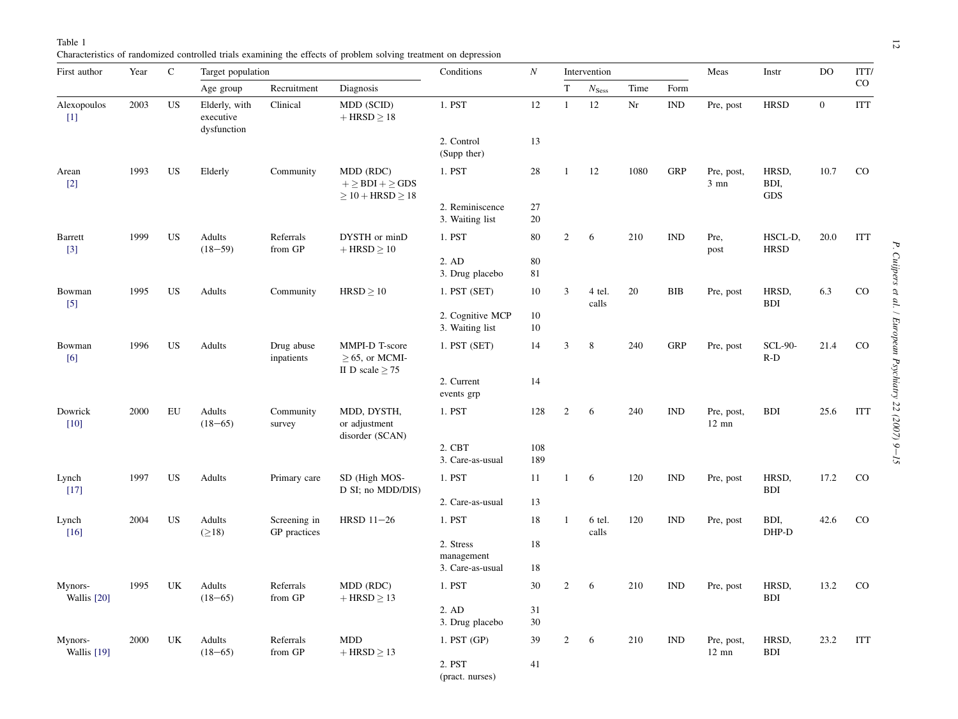<span id="page-3-0"></span>Table 1

| Characteristics of randomized controlled trials examining the effects of problem solving treatment on depression |  |  |
|------------------------------------------------------------------------------------------------------------------|--|--|
|                                                                                                                  |  |  |

| First author            | Year | ${\bf C}$ | Target population                         |                              |                                                                         | Conditions                                  | $\cal N$   |                | Intervention    |      |                             | Meas                          | Instr                       | DO               | $\ensuremath{\text{ITT}}\xspace / \xspace$ |
|-------------------------|------|-----------|-------------------------------------------|------------------------------|-------------------------------------------------------------------------|---------------------------------------------|------------|----------------|-----------------|------|-----------------------------|-------------------------------|-----------------------------|------------------|--------------------------------------------|
|                         |      |           | Age group                                 | Recruitment                  | Diagnosis                                                               |                                             |            | $\mathbf T$    | $N_{\rm Sess}$  | Time | Form                        |                               |                             |                  | $\rm CO$                                   |
| Alexopoulos<br>$[1]$    | 2003 | US        | Elderly, with<br>executive<br>dysfunction | Clinical                     | MDD (SCID)<br>$+$ HRSD $>$ 18                                           | 1. PST                                      | 12         | $\mathbf{1}$   | $12 \,$         | Nr   | $\mathop{\rm IND}\nolimits$ | Pre, post                     | <b>HRSD</b>                 | $\boldsymbol{0}$ | <b>ITT</b>                                 |
|                         |      |           |                                           |                              |                                                                         | 2. Control<br>(Supp ther)                   | 13         |                |                 |      |                             |                               |                             |                  |                                            |
| Arean<br>$[2]$          | 1993 | <b>US</b> | Elderly                                   | Community                    | MDD (RDC)<br>$+\geq$ BDI $+\geq$ GDS<br>$\geq 10 + \text{HRSD} \geq 18$ | 1. PST                                      | 28         | 1              | 12              | 1080 | <b>GRP</b>                  | Pre, post,<br>$3 \text{ mm}$  | HRSD,<br>BDI,<br><b>GDS</b> | 10.7             | CO                                         |
|                         |      |           |                                           |                              |                                                                         | 2. Reminiscence<br>3. Waiting list          | 27<br>20   |                |                 |      |                             |                               |                             |                  |                                            |
| <b>Barrett</b><br>$[3]$ | 1999 | <b>US</b> | Adults<br>$(18 - 59)$                     | Referrals<br>from GP         | DYSTH or minD<br>$+$ HRSD $\geq$ 10                                     | 1. PST                                      | 80         | 2              | 6               | 210  | $\mathop{\rm IND}\nolimits$ | Pre,<br>post                  | HSCL-D,<br><b>HRSD</b>      | 20.0             | <b>ITT</b>                                 |
|                         |      |           |                                           |                              |                                                                         | 2. AD<br>3. Drug placebo                    | 80<br>81   |                |                 |      |                             |                               |                             |                  |                                            |
| Bowman<br>$[5]$         | 1995 | US        | Adults                                    | Community                    | HRSD > 10                                                               | $1.$ PST $(SET)$                            | 10         | 3              | 4 tel.<br>calls | 20   | <b>BIB</b>                  | Pre, post                     | HRSD,<br><b>BDI</b>         | 6.3              | $_{\rm CO}$                                |
|                         |      |           |                                           |                              |                                                                         | 2. Cognitive MCP<br>3. Waiting list         | 10<br>10   |                |                 |      |                             |                               |                             |                  |                                            |
| Bowman<br>$[6]$         | 1996 | <b>US</b> | Adults                                    | Drug abuse<br>inpatients     | MMPI-D T-score<br>$>65$ , or MCMI-<br>II D scale $\geq$ 75              | 1. PST (SET)                                | 14         | 3              | 8               | 240  | <b>GRP</b>                  | Pre, post                     | <b>SCL-90-</b><br>$R-D$     | 21.4             | CO                                         |
|                         |      |           |                                           |                              |                                                                         | 2. Current<br>events grp                    | 14         |                |                 |      |                             |                               |                             |                  |                                            |
| Dowrick<br>$[10]$       | 2000 | EU        | Adults<br>$(18-65)$                       | Community<br>survey          | MDD, DYSTH,<br>or adjustment<br>disorder (SCAN)                         | 1. PST                                      | 128        | 2              | 6               | 240  | IND                         | Pre, post,<br>$12$ mn         | <b>BDI</b>                  | 25.6             | <b>ITT</b>                                 |
|                         |      |           |                                           |                              |                                                                         | 2. CBT<br>3. Care-as-usual                  | 108<br>189 |                |                 |      |                             |                               |                             |                  |                                            |
| Lynch<br>$[17]$         | 1997 | US        | Adults                                    | Primary care                 | SD (High MOS-<br>D SI; no MDD/DIS)                                      | 1. PST                                      | 11         | 1              | 6               | 120  | $\mathop{\rm IND}\nolimits$ | Pre, post                     | HRSD,<br><b>BDI</b>         | 17.2             | $_{\rm CO}$                                |
|                         |      |           |                                           |                              |                                                                         | 2. Care-as-usual                            | 13         |                |                 |      |                             |                               |                             |                  |                                            |
| Lynch<br>$[16]$         | 2004 | <b>US</b> | Adults<br>(≥18)                           | Screening in<br>GP practices | HRSD 11-26                                                              | 1. PST                                      | 18         | $\mathbf{1}$   | 6 tel.<br>calls | 120  | IND                         | Pre, post                     | BDI,<br>DHP-D               | 42.6             | CO                                         |
|                         |      |           |                                           |                              |                                                                         | 2. Stress<br>management<br>3. Care-as-usual | 18<br>18   |                |                 |      |                             |                               |                             |                  |                                            |
| Mynors-<br>Wallis [20]  | 1995 | UK        | Adults<br>$(18-65)$                       | Referrals<br>from GP         | MDD (RDC)<br>$+$ HRSD $\geq$ 13                                         | 1. PST                                      | 30         | $\overline{2}$ | 6               | 210  | <b>IND</b>                  | Pre, post                     | HRSD,<br><b>BDI</b>         | 13.2             | $_{\rm CO}$                                |
|                         |      |           |                                           |                              |                                                                         | 2. AD<br>3. Drug placebo                    | 31<br>30   |                |                 |      |                             |                               |                             |                  |                                            |
| Mynors-<br>Wallis [19]  | 2000 | UK        | Adults<br>$(18-65)$                       | Referrals<br>from GP         | <b>MDD</b><br>$+$ HRSD $\geq$ 13                                        | $1.$ PST $(GP)$                             | 39         | 2              | 6               | 210  | IND                         | Pre, post,<br>$12 \text{ mm}$ | HRSD,<br><b>BDI</b>         | 23.2             | <b>ITT</b>                                 |
|                         |      |           |                                           |                              |                                                                         | 2. PST<br>(pract. nurses)                   | 41         |                |                 |      |                             |                               |                             |                  |                                            |

P. Cuijpers et al. / European Psychiatry 22 (2007) 9  $SI$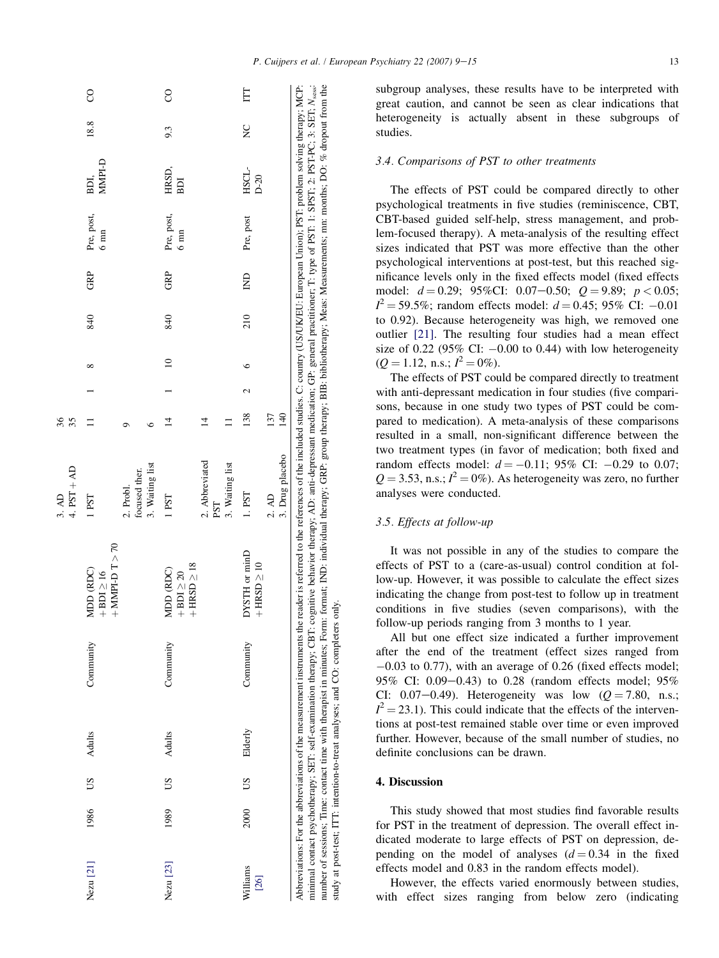|   |             |        |                |       |     |                 |                  |                |                                  | Abbreviations: For the abbreviations of the measurement instruments the reader is referred to the references of the included studies. C: country (US/UK/EU: European Union); PST: problem solving therapy; MCP:<br>minimal contact psychotherapy; SET: self-examination therapy; CBT: cognitive behavior therapy; AD: anti-depressant medication; GP: general practitioner; T: type of PST: 1: SPST; 2: PSTF:PC; 3: SET; N <sub>sess</sub> : |           |         |                 |      | number of sessions; Time: contact time with therapist in minutes; Form: format; IND: individual therapy; GRP: group therapy; BIB: bibliotherapy; Meas: Measurements; mn: months; DO: % dropout from the |
|---|-------------|--------|----------------|-------|-----|-----------------|------------------|----------------|----------------------------------|----------------------------------------------------------------------------------------------------------------------------------------------------------------------------------------------------------------------------------------------------------------------------------------------------------------------------------------------------------------------------------------------------------------------------------------------|-----------|---------|-----------------|------|---------------------------------------------------------------------------------------------------------------------------------------------------------------------------------------------------------|
|   |             |        |                |       |     |                 |                  | 140            | 3. Drug placebo                  |                                                                                                                                                                                                                                                                                                                                                                                                                                              |           |         |                 |      |                                                                                                                                                                                                         |
|   |             | $D-20$ |                |       |     |                 |                  | 137            | 2. AD                            | $+$ HRSD $> 10$                                                                                                                                                                                                                                                                                                                                                                                                                              |           |         |                 |      | $[26]$                                                                                                                                                                                                  |
| E | $\tilde{z}$ | HSCL-  | Pre, post      | $\Xi$ | 210 | $\circ$         | $\mathrel{\sim}$ | 138            | 1.PST                            | DYSTH or minD                                                                                                                                                                                                                                                                                                                                                                                                                                | Community | Elderly | $\overline{50}$ | 2000 | Williams                                                                                                                                                                                                |
|   |             |        |                |       |     |                 |                  |                | 3. Waiting list                  |                                                                                                                                                                                                                                                                                                                                                                                                                                              |           |         |                 |      |                                                                                                                                                                                                         |
|   |             |        |                |       |     |                 |                  | 4              | 2. Abbreviated<br>PST            |                                                                                                                                                                                                                                                                                                                                                                                                                                              |           |         |                 |      |                                                                                                                                                                                                         |
|   |             | BDI    | $6 \text{ mm}$ |       |     |                 |                  |                |                                  | $+$ HRSD $\geq$ 18<br>$+$ BDI $>$ 20                                                                                                                                                                                                                                                                                                                                                                                                         |           |         |                 |      |                                                                                                                                                                                                         |
| 8 | 9.3         | HRSD,  | Pre, post,     | GRP   | 840 | $\overline{10}$ |                  | $\overline{4}$ | 1 PST                            | MDD (RDC)                                                                                                                                                                                                                                                                                                                                                                                                                                    | Community | Adults  | SQ              | 1989 | Nezu [23]                                                                                                                                                                                               |
|   |             |        |                |       |     |                 |                  | ७              | 3. Waiting list<br>focused ther. |                                                                                                                                                                                                                                                                                                                                                                                                                                              |           |         |                 |      |                                                                                                                                                                                                         |
|   |             |        |                |       |     |                 |                  |                | 2. Probl.                        |                                                                                                                                                                                                                                                                                                                                                                                                                                              |           |         |                 |      |                                                                                                                                                                                                         |
|   |             | MMPI-D | $6 \text{ mm}$ |       |     |                 |                  |                |                                  | + MMPI-D T $>70$<br>$+$ BDI $>$ 16                                                                                                                                                                                                                                                                                                                                                                                                           |           |         |                 |      |                                                                                                                                                                                                         |
| 8 | 18.8        | BDI.   | Pre, post,     | GRP   | 840 | $\infty$        |                  |                | 1 PST                            | MDD (RDC)                                                                                                                                                                                                                                                                                                                                                                                                                                    | Community | Adults  | SJ              | 1986 | Nezu [21]                                                                                                                                                                                               |
|   |             |        |                |       |     |                 |                  | 35             | 4. $PST+AD$                      |                                                                                                                                                                                                                                                                                                                                                                                                                                              |           |         |                 |      |                                                                                                                                                                                                         |
|   |             |        |                |       |     |                 |                  | 36             | $3.\overline{AD}$                |                                                                                                                                                                                                                                                                                                                                                                                                                                              |           |         |                 |      |                                                                                                                                                                                                         |

subgroup analyses, these results have to be interpreted with great caution, and cannot be seen as clear indications that heterogeneity is actually absent in these subgroups of studies.

# 3.4. Comparisons of PST to other treatments

The effects of PST could be compared directly to other psychological treatments in five studies (reminiscence, CBT, CBT-based guided self-help, stress management, and problem-focused therapy). A meta-analysis of the resulting effect sizes indicated that PST was more effective than the other psychological interventions at post-test, but this reached significance levels only in the fixed effects model (fixed effects model:  $d = 0.29$ ; 95%CI: 0.07-0.50;  $Q = 9.89$ ;  $p < 0.05$ ;  $I^2 = 59.5\%$ ; random effects model:  $d = 0.45$ ; 95% CI: -0.01 to 0.92). Because heterogeneity was high, we removed one outlier [\[21\].](#page-6-0) The resulting four studies had a mean effect size of 0.22 (95% CI:  $-0.00$  to 0.44) with low heterogeneity  $(Q = 1.12, n.s.; I<sup>2</sup> = 0\%).$ 

The effects of PST could be compared directly to treatment with anti-depressant medication in four studies (five comparisons, because in one study two types of PST could be compared to medication). A meta-analysis of these comparisons resulted in a small, non-significant difference between the two treatment types (in favor of medication; both fixed and random effects model:  $d = -0.11$ ; 95% CI:  $-0.29$  to 0.07;  $Q = 3.53$ , n.s.;  $I^2 = 0\%$ ). As heterogeneity was zero, no further analyses were conducted.

# 3.5. Effects at follow-up

It was not possible in any of the studies to compare the effects of PST to a (care-as-usual) control condition at follow-up. However, it was possible to calculate the effect sizes indicating the change from post-test to follow up in treatment conditions in five studies (seven comparisons), with the follow-up periods ranging from 3 months to 1 year.

All but one effect size indicated a further improvement after the end of the treatment (effect sizes ranged from  $-0.03$  to 0.77), with an average of 0.26 (fixed effects model; 95% CI:  $0.09 - 0.43$ ) to 0.28 (random effects model; 95% CI: 0.07–0.49). Heterogeneity was low  $(Q = 7.80, n.s.;$  $I^2 = 23.1$ ). This could indicate that the effects of the interventions at post-test remained stable over time or even improved further. However, because of the small number of studies, no definite conclusions can be drawn.

## 4. Discussion

This study showed that most studies find favorable results for PST in the treatment of depression. The overall effect indicated moderate to large effects of PST on depression, depending on the model of analyses  $(d = 0.34$  in the fixed effects model and 0.83 in the random effects model).

However, the effects varied enormously between studies, with effect sizes ranging from below zero (indicating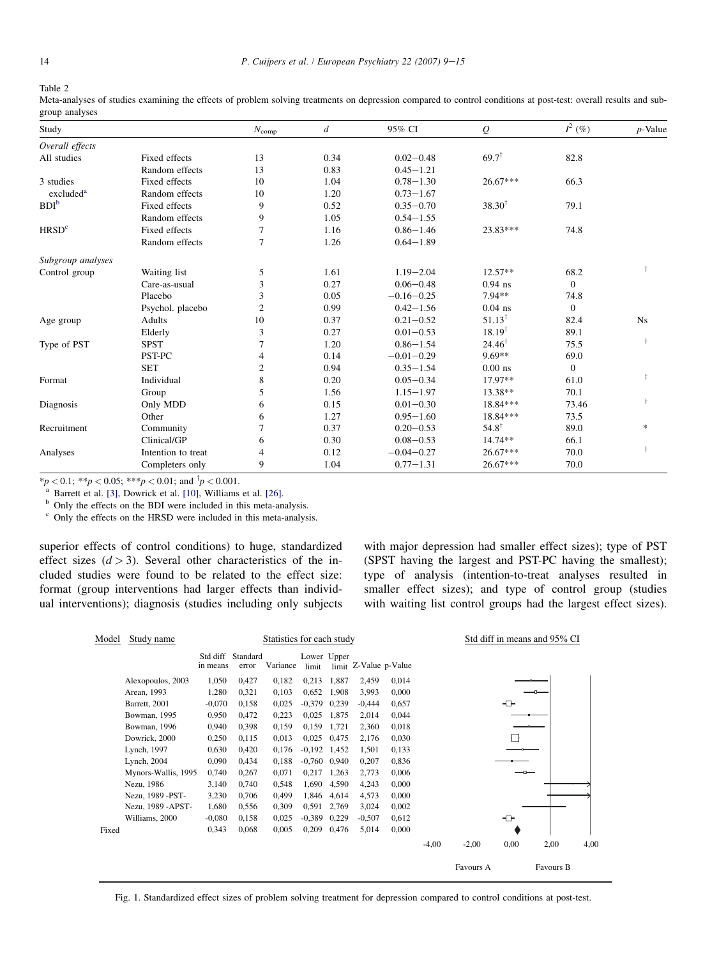<span id="page-5-0"></span>Table 2

| Meta-analyses of studies examining the effects of problem solving treatments on depression compared to control conditions at post-test: overall results and sub- |  |
|------------------------------------------------------------------------------------------------------------------------------------------------------------------|--|
| group analyses                                                                                                                                                   |  |

| Study                 |                      | $N_{\text{comp}}$ | $\boldsymbol{d}$ | 95% CI         | $\mathcal{Q}$     | $I^2$ (%)    | $p$ -Value |
|-----------------------|----------------------|-------------------|------------------|----------------|-------------------|--------------|------------|
| Overall effects       |                      |                   |                  |                |                   |              |            |
| All studies           | Fixed effects        | 13                | 0.34             | $0.02 - 0.48$  | $69.7^{\dagger}$  | 82.8         |            |
|                       | Random effects       | 13                | 0.83             | $0.45 - 1.21$  |                   |              |            |
| 3 studies             | Fixed effects        | 10                | 1.04             | $0.78 - 1.30$  | 26.67***          | 66.3         |            |
| excluded <sup>a</sup> | Random effects       | 10                | 1.20             | $0.73 - 1.67$  |                   |              |            |
| $BDI^b$               | <b>Fixed effects</b> | 9                 | 0.52             | $0.35 - 0.70$  | $38.30^{\dagger}$ | 79.1         |            |
|                       | Random effects       | 9                 | 1.05             | $0.54 - 1.55$  |                   |              |            |
| HRSD <sup>c</sup>     | Fixed effects        | 7                 | 1.16             | $0.86 - 1.46$  | 23.83***          | 74.8         |            |
|                       | Random effects       | 7                 | 1.26             | $0.64 - 1.89$  |                   |              |            |
| Subgroup analyses     |                      |                   |                  |                |                   |              |            |
| Control group         | Waiting list         | 5                 | 1.61             | $1.19 - 2.04$  | $12.57**$         | 68.2         |            |
|                       | Care-as-usual        | 3                 | 0.27             | $0.06 - 0.48$  | $0.94$ ns         | $\mathbf{0}$ |            |
|                       | Placebo              | 3                 | 0.05             | $-0.16 - 0.25$ | 7.94**            | 74.8         |            |
|                       | Psychol. placebo     | $\overline{c}$    | 0.99             | $0.42 - 1.56$  | $0.04$ ns         | $\mathbf{0}$ |            |
| Age group             | <b>Adults</b>        | 10                | 0.37             | $0.21 - 0.52$  | $51.13^{\dagger}$ | 82.4         | <b>Ns</b>  |
|                       | Elderly              | 3                 | 0.27             | $0.01 - 0.53$  | $18.19^{\dagger}$ | 89.1         |            |
| Type of PST           | <b>SPST</b>          | 7                 | 1.20             | $0.86 - 1.54$  | $24.46^{\dagger}$ | 75.5         |            |
|                       | PST-PC               | 4                 | 0.14             | $-0.01 - 0.29$ | 9.69**            | 69.0         |            |
|                       | <b>SET</b>           | $\overline{c}$    | 0.94             | $0.35 - 1.54$  | $0.00$ ns         | $\Omega$     |            |
| Format                | Individual           | 8                 | 0.20             | $0.05 - 0.34$  | 17.97**           | 61.0         |            |
|                       | Group                | 5                 | 1.56             | $1.15 - 1.97$  | 13.38**           | 70.1         |            |
| Diagnosis             | Only MDD             | 6                 | 0.15             | $0.01 - 0.30$  | 18.84***          | 73.46        |            |
|                       | Other                | 6                 | 1.27             | $0.95 - 1.60$  | 18.84***          | 73.5         |            |
| Recruitment           | Community            | 7                 | 0.37             | $0.20 - 0.53$  | $54.8^{\dagger}$  | 89.0         | $\ast$     |
|                       | Clinical/GP          | 6                 | 0.30             | $0.08 - 0.53$  | 14.74**           | 66.1         |            |
| Analyses              | Intention to treat   | 4                 | 0.12             | $-0.04 - 0.27$ | $26.67***$        | 70.0         |            |
|                       | Completers only      | 9                 | 1.04             | $0.77 - 1.31$  | 26.67***          | 70.0         |            |

\*p < 0.1; \*\*p < 0.05; \*\*\*p < 0.01; and  $^{\dagger}p$  < 0.001.<br>
<sup>a</sup> Barrett et al. [3], Dowrick et al. [10], Williams et al. [26].

b Only the effects on the BDI were included in this meta-analysis.

<sup>c</sup> Only the effects on the HRSD were included in this meta-analysis.

superior effects of control conditions) to huge, standardized effect sizes  $(d > 3)$ . Several other characteristics of the included studies were found to be related to the effect size: format (group interventions had larger effects than individual interventions); diagnosis (studies including only subjects

with major depression had smaller effect sizes); type of PST (SPST having the largest and PST-PC having the smallest); type of analysis (intention-to-treat analyses resulted in smaller effect sizes); and type of control group (studies with waiting list control groups had the largest effect sizes).

| Model | Study name          |                      |                   | Statistics for each study |          |             |                       |       |         |           |      | Std diff in means and 95% CI |      |
|-------|---------------------|----------------------|-------------------|---------------------------|----------|-------------|-----------------------|-------|---------|-----------|------|------------------------------|------|
|       |                     | Std diff<br>in means | Standard<br>error | Variance                  | limit    | Lower Upper | limit Z-Value p-Value |       |         |           |      |                              |      |
|       | Alexopoulos, 2003   | 1,050                | 0,427             | 0,182                     | 0,213    | 1,887       | 2,459                 | 0,014 |         |           |      |                              |      |
|       | Arean, 1993         | 1,280                | 0,321             | 0,103                     | 0,652    | 1,908       | 3,993                 | 0,000 |         |           |      |                              |      |
|       | Barrett, 2001       | $-0.070$             | 0,158             | 0,025                     | $-0,379$ | 0,239       | $-0,444$              | 0,657 |         |           | -87- |                              |      |
|       | Bowman, 1995        | 0,950                | 0,472             | 0,223                     | 0,025    | 1,875       | 2,014                 | 0,044 |         |           |      |                              |      |
|       | Bowman, 1996        | 0,940                | 0,398             | 0,159                     | 0,159    | 1,721       | 2,360                 | 0,018 |         |           |      |                              |      |
|       | Dowrick, 2000       | 0,250                | 0,115             | 0,013                     | 0,025    | 0.475       | 2,176                 | 0,030 |         |           |      |                              |      |
|       | Lynch, 1997         | 0,630                | 0,420             | 0,176                     | $-0,192$ | 1,452       | 1,501                 | 0,133 |         |           |      |                              |      |
|       | Lynch, 2004         | 0,090                | 0,434             | 0,188                     | $-0,760$ | 0,940       | 0,207                 | 0,836 |         |           |      |                              |      |
|       | Mynors-Wallis, 1995 | 0,740                | 0,267             | 0,071                     | 0,217    | 1,263       | 2,773                 | 0,006 |         |           |      |                              |      |
|       | Nezu, 1986          | 3,140                | 0,740             | 0,548                     | 1,690    | 4,590       | 4,243                 | 0,000 |         |           |      |                              |      |
|       | Nezu, 1989 - PST-   | 3,230                | 0,706             | 0,499                     | 1,846    | 4,614       | 4,573                 | 0,000 |         |           |      |                              |      |
|       | Nezu, 1989 - APST-  | 1,680                | 0,556             | 0,309                     | 0,591    | 2,769       | 3,024                 | 0,002 |         |           |      |                              |      |
|       | Williams, 2000      | $-0.080$             | 0,158             | 0,025                     | $-0.389$ | 0,229       | $-0,507$              | 0,612 |         |           | ≖    |                              |      |
| Fixed |                     | 0,343                | 0,068             | 0,005                     | 0,209    | 0,476       | 5,014                 | 0,000 |         |           |      |                              |      |
|       |                     |                      |                   |                           |          |             |                       |       | $-4,00$ | $-2,00$   | 0,00 | 2,00                         | 4,00 |
|       |                     |                      |                   |                           |          |             |                       |       |         | Favours A |      | Favours B                    |      |

Fig. 1. Standardized effect sizes of problem solving treatment for depression compared to control conditions at post-test.